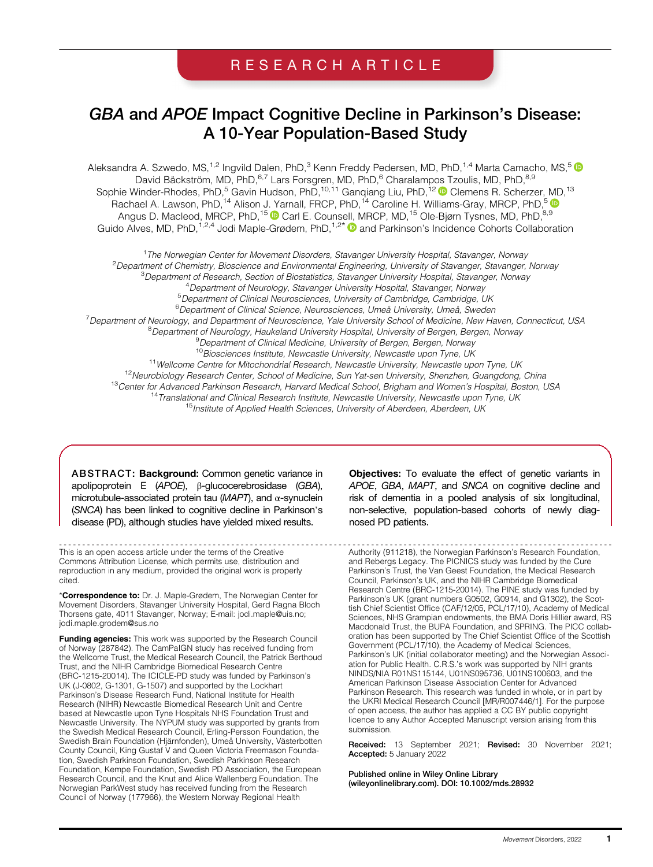# RESEARCH ARTICLE

# GBA and APOE Impact Cognitive Decline in Parkinson's Disease: A 10-Year Population-Based Study

Aleksandra A. Szwedo, MS,<sup>1,2</sup> Ingvild Dalen, PhD,<sup>3</sup> Kenn Freddy Pedersen, MD, PhD,<sup>1,4</sup> Marta Camacho, MS,<sup>5</sup> David Bäckström, MD, PhD, 6,7 Lars Forsgren, MD, PhD, 6 Charalampos Tzoulis, MD, PhD, 8,9 Sophie Winder-Rhodes, PhD,<sup>5</sup> Gavin Hudson, PhD,<sup>10,11</sup> Ganqiang Liu, PhD,<sup>12</sup> © Clemens R. Scherzer, MD,<sup>13</sup> Rachael A. Lawson, PhD,<sup>14</sup> Alison J. Yarnall, FRCP, PhD,<sup>14</sup> Caroline H. Williams-Gray, MRCP, PhD,<sup>5</sup> Angus D. Macleod, MRCP, PhD,<sup>15</sup> Carl E. Counsell, MRCP, MD,<sup>15</sup> Ole-Bjørn Tysnes, MD, PhD,<sup>8,9</sup> Guido Alves, MD, PhD, <sup>1,2,4</sup> Jodi Maple-Grødem, PhD, <sup>1,2\*</sup> @ and Parkinson's Incidence Cohorts Collaboration

<sup>1</sup> The Norwegian Center for Movement Disorders, Stavanger University Hospital, Stavanger, Norway <sup>2</sup> Department of Chemistry, Bioscience and Environmental Engineering, University of Stavanger, Stavanger, Norway<br><sup>3</sup> Department of Pescarch, Section of Piestatistics, Stavanger University Herpital, Stavanger, Norway <sup>3</sup>Department of Research, Section of Biostatistics, Stavanger University Hospital, Stavanger, Norway <sup>4</sup> Department of Neurology, Stavanger University Hospital, Stavanger, Norway<br><sup>5</sup> Department of Clinical Neurosciences, University of Cambridge Cambridge, L <sup>5</sup>Department of Clinical Neurosciences, University of Cambridge, Cambridge, UK 6 Department of Clinical Science, Neurosciences, Umeå University, Umeå, Sweden <sup>7</sup> Department of Neurology, and Department of Neuroscience, Yale University School of Medicine, New Haven, Connecticut, USA<br><sup>8</sup> Department of Neurology, Haukeland University Hospital, University of Bergen, Bergen, Nerway <sup>8</sup>Department of Neurology, Haukeland University Hospital, University of Bergen, Bergen, Norway <sup>9</sup> Department of Clinical Medicine, University of Bergen, Bergen, Norway <sup>10</sup> Biosciences Institute, Newcastle University, Newcastle upon Tyne, UK <sup>11</sup>Wellcome Centre for Mitochondrial Research, Newcastle University, Newcastle upon Tyne, UK<br><sup>12</sup>Neurobiology Research Center, School of Medicine, Sun Yat-sen University, Shenzhen, Guangdong, China <sup>13</sup>Center for Advanced Parkinson Research, Harvard Medical School, Brigham and Women's Hospital, Boston, USA <sup>14</sup> Translational and Clinical Research Institute, Newcastle University, Newcastle upon Tyne, UK

<sup>15</sup> Institute of Applied Health Sciences, University of Aberdeen, Aberdeen, UK

ABSTRACT: Background: Common genetic variance in apolipoprotein E (APOE), β-glucocerebrosidase (GBA), microtubule-associated protein tau ( $MAPT$ ), and  $\alpha$ -synuclein (SNCA) has been linked to cognitive decline in Parkinson's disease (PD), although studies have yielded mixed results.

----------------------------------------------------------------------------------------------------------------------- Authority (911218), the Norwegian Parkinson's Research Foundation, This is an open access article under the terms of the [Creative](http://creativecommons.org/licenses/by/4.0/) [Commons Attribution](http://creativecommons.org/licenses/by/4.0/) License, which permits use, distribution and reproduction in any medium, provided the original work is properly cited.

\*Correspondence to: Dr. J. Maple-Grødem, The Norwegian Center for Movement Disorders, Stavanger University Hospital, Gerd Ragna Bloch Thorsens gate, 4011 Stavanger, Norway; E-mail: [jodi.maple@uis.no](mailto:jodi.maple@uis.no); [jodi.maple.grodem@sus.no](mailto:jodi.maple.grodem@sus.no)

**Funding agencies:** This work was supported by the Research Council of Norway (287842). The CamPaIGN study has received funding from the Wellcome Trust, the Medical Research Council, the Patrick Berthoud Trust, and the NIHR Cambridge Biomedical Research Centre (BRC-1215-20014). The ICICLE-PD study was funded by Parkinson's UK (J-0802, G-1301, G-1507) and supported by the Lockhart Parkinson's Disease Research Fund, National Institute for Health Research (NIHR) Newcastle Biomedical Research Unit and Centre based at Newcastle upon Tyne Hospitals NHS Foundation Trust and Newcastle University. The NYPUM study was supported by grants from the Swedish Medical Research Council, Erling-Persson Foundation, the Swedish Brain Foundation (Hjärnfonden), Umeå University, Västerbotten County Council, King Gustaf V and Queen Victoria Freemason Foundation, Swedish Parkinson Foundation, Swedish Parkinson Research Foundation, Kempe Foundation, Swedish PD Association, the European Research Council, and the Knut and Alice Wallenberg Foundation. The Norwegian ParkWest study has received funding from the Research Council of Norway (177966), the Western Norway Regional Health

Objectives: To evaluate the effect of genetic variants in APOE, GBA, MAPT, and SNCA on cognitive decline and risk of dementia in a pooled analysis of six longitudinal, non-selective, population-based cohorts of newly diagnosed PD patients.

and Rebergs Legacy. The PICNICS study was funded by the Cure Parkinson's Trust, the Van Geest Foundation, the Medical Research Council, Parkinson's UK, and the NIHR Cambridge Biomedical Research Centre (BRC-1215-20014). The PINE study was funded by Parkinson's UK (grant numbers G0502, G0914, and G1302), the Scottish Chief Scientist Office (CAF/12/05, PCL/17/10), Academy of Medical Sciences, NHS Grampian endowments, the BMA Doris Hillier award, RS Macdonald Trust, the BUPA Foundation, and SPRING. The PICC collaboration has been supported by The Chief Scientist Office of the Scottish Government (PCL/17/10), the Academy of Medical Sciences, Parkinson's UK (initial collaborator meeting) and the Norwegian Association for Public Health. C.R.S.'s work was supported by NIH grants NINDS/NIA R01NS115144, U01NS095736, U01NS100603, and the American Parkinson Disease Association Center for Advanced Parkinson Research. This research was funded in whole, or in part by the UKRI Medical Research Council [MR/R007446/1]. For the purpose of open access, the author has applied a CC BY public copyright licence to any Author Accepted Manuscript version arising from this submission.

Received: 13 September 2021; Revised: 30 November 2021; Accepted: 5 January 2022

Published online in Wiley Online Library [\(wileyonlinelibrary.com](http://wileyonlinelibrary.com)). DOI: 10.1002/mds.28932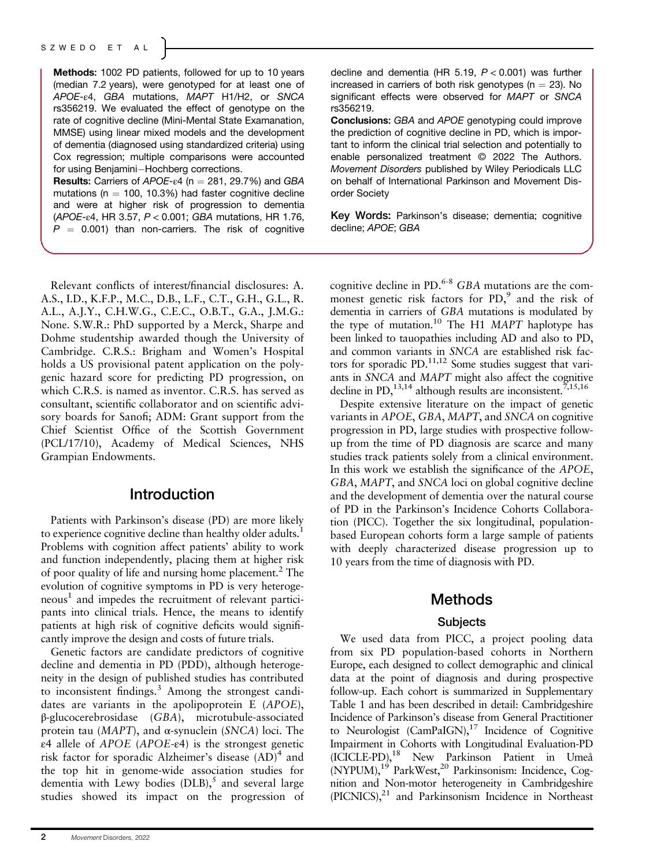Methods: 1002 PD patients, followed for up to 10 years (median 7.2 years), were genotyped for at least one of APOE-ε4, GBA mutations, MAPT H1/H2, or SNCA rs356219. We evaluated the effect of genotype on the rate of cognitive decline (Mini-Mental State Examanation, MMSE) using linear mixed models and the development of dementia (diagnosed using standardized criteria) using Cox regression; multiple comparisons were accounted for using Benjamini-Hochberg corrections.

Results: Carriers of  $APOE-ε4$  (n = 281, 29.7%) and GBA mutations ( $n = 100, 10.3\%$ ) had faster cognitive decline and were at higher risk of progression to dementia (APOE-ε4, HR 3.57, P < 0.001; GBA mutations, HR 1.76,  $P = 0.001$ ) than non-carriers. The risk of cognitive

Relevant conflicts of interest/financial disclosures: A. A.S., I.D., K.F.P., M.C., D.B., L.F., C.T., G.H., G.L., R. A.L., A.J.Y., C.H.W.G., C.E.C., O.B.T., G.A., J.M.G.: None. S.W.R.: PhD supported by a Merck, Sharpe and Dohme studentship awarded though the University of Cambridge. C.R.S.: Brigham and Women's Hospital holds a US provisional patent application on the polygenic hazard score for predicting PD progression, on which C.R.S. is named as inventor. C.R.S. has served as consultant, scientific collaborator and on scientific advisory boards for Sanofi; ADM: Grant support from the Chief Scientist Office of the Scottish Government (PCL/17/10), Academy of Medical Sciences, NHS Grampian Endowments.

## Introduction

Patients with Parkinson's disease (PD) are more likely to experience cognitive decline than healthy older adults.<sup>1</sup> Problems with cognition affect patients' ability to work and function independently, placing them at higher risk of poor quality of life and nursing home placement.<sup>2</sup> The evolution of cognitive symptoms in PD is very heteroge $neous<sup>1</sup>$  and impedes the recruitment of relevant participants into clinical trials. Hence, the means to identify patients at high risk of cognitive deficits would significantly improve the design and costs of future trials.

Genetic factors are candidate predictors of cognitive decline and dementia in PD (PDD), although heterogeneity in the design of published studies has contributed to inconsistent findings.<sup>3</sup> Among the strongest candidates are variants in the apolipoprotein E (APOE), <sup>β</sup>-glucocerebrosidase (GBA), microtubule-associated protein tau (MAPT), and <sup>α</sup>-synuclein (SNCA) loci. The <sup>ε</sup>4 allele of APOE (APOE-ε4) is the strongest genetic risk factor for sporadic Alzheimer's disease  $(AD)^4$  and the top hit in genome-wide association studies for dementia with Lewy bodies  $(DLB)$ ,<sup>5</sup> and several large studies showed its impact on the progression of decline and dementia (HR 5.19,  $P < 0.001$ ) was further increased in carriers of both risk genotypes ( $n = 23$ ). No significant effects were observed for MAPT or SNCA rs356219.

Conclusions: GBA and APOE genotyping could improve the prediction of cognitive decline in PD, which is important to inform the clinical trial selection and potentially to enable personalized treatment © 2022 The Authors. Movement Disorders published by Wiley Periodicals LLC on behalf of International Parkinson and Movement Disorder Society

Key Words: Parkinson's disease; dementia; cognitive decline; APOE; GBA

cognitive decline in PD. $6-8$  GBA mutations are the commonest genetic risk factors for  $PD$ , and the risk of dementia in carriers of GBA mutations is modulated by the type of mutation.<sup>10</sup> The H1 MAPT haplotype has been linked to tauopathies including AD and also to PD, and common variants in *SNCA* are established risk factors for sporadic PD.<sup>11,12</sup> Some studies suggest that variants in SNCA and MAPT might also affect the cognitive decline in PD,<sup>13,14</sup> although results are inconsistent.<sup>7,15,16</sup>

Despite extensive literature on the impact of genetic variants in APOE, GBA, MAPT, and SNCA on cognitive progression in PD, large studies with prospective followup from the time of PD diagnosis are scarce and many studies track patients solely from a clinical environment. In this work we establish the significance of the APOE, GBA, MAPT, and SNCA loci on global cognitive decline and the development of dementia over the natural course of PD in the Parkinson's Incidence Cohorts Collaboration (PICC). Together the six longitudinal, populationbased European cohorts form a large sample of patients with deeply characterized disease progression up to 10 years from the time of diagnosis with PD.

### Methods

### **Subjects**

We used data from PICC, a project pooling data from six PD population-based cohorts in Northern Europe, each designed to collect demographic and clinical data at the point of diagnosis and during prospective follow-up. Each cohort is summarized in Supplementary Table 1 and has been described in detail: Cambridgeshire Incidence of Parkinson's disease from General Practitioner to Neurologist  $(CamPalGN)$ ,<sup>17</sup> Incidence of Cognitive Impairment in Cohorts with Longitudinal Evaluation-PD (ICICLE-PD),18 New Parkinson Patient in Umeå (NYPUM),<sup>19</sup> ParkWest,<sup>20</sup> Parkinsonism: Incidence, Cognition and Non-motor heterogeneity in Cambridgeshire  $(PICNICS),<sup>21</sup>$  and Parkinsonism Incidence in Northeast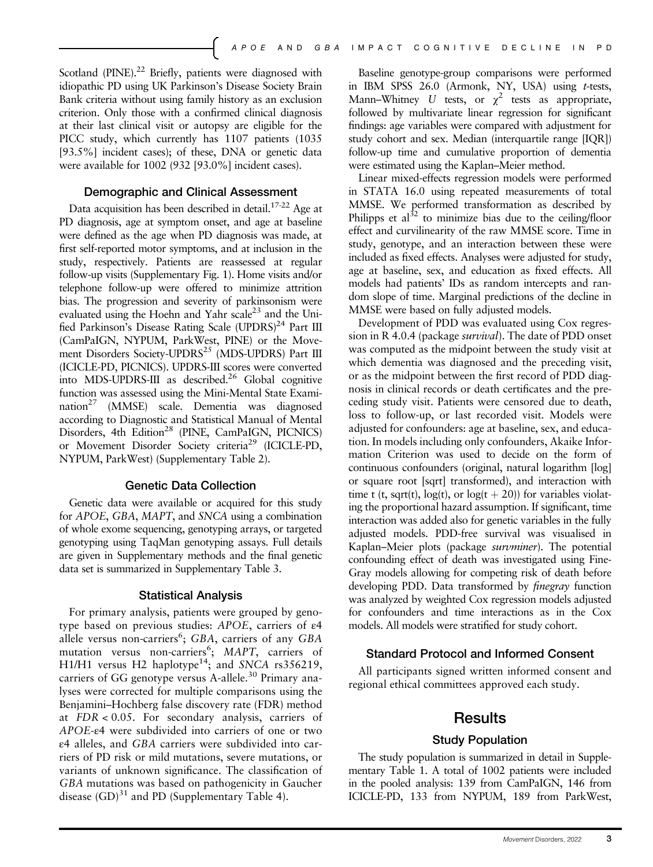Scotland (PINE).<sup>22</sup> Briefly, patients were diagnosed with idiopathic PD using UK Parkinson's Disease Society Brain Bank criteria without using family history as an exclusion criterion. Only those with a confirmed clinical diagnosis at their last clinical visit or autopsy are eligible for the PICC study, which currently has 1107 patients (1035 [93.5%] incident cases); of these, DNA or genetic data were available for 1002 (932 [93.0%] incident cases).

#### Demographic and Clinical Assessment

Data acquisition has been described in detail.<sup>17-22</sup> Age at PD diagnosis, age at symptom onset, and age at baseline were defined as the age when PD diagnosis was made, at first self-reported motor symptoms, and at inclusion in the study, respectively. Patients are reassessed at regular follow-up visits (Supplementary Fig. 1). Home visits and/or telephone follow-up were offered to minimize attrition bias. The progression and severity of parkinsonism were evaluated using the Hoehn and Yahr scale<sup>23</sup> and the Unified Parkinson's Disease Rating Scale (UPDRS)<sup>24</sup> Part III (CamPaIGN, NYPUM, ParkWest, PINE) or the Movement Disorders Society-UPDRS<sup>25</sup> (MDS-UPDRS) Part III (ICICLE-PD, PICNICS). UPDRS-III scores were converted into MDS-UPDRS-III as described.<sup>26</sup> Global cognitive function was assessed using the Mini-Mental State Examination<sup>27</sup> (MMSE) scale. Dementia was diagnosed according to Diagnostic and Statistical Manual of Mental Disorders, 4th Edition<sup>28</sup> (PINE, CamPaIGN, PICNICS) or Movement Disorder Society criteria<sup>29</sup> (ICICLE-PD, NYPUM, ParkWest) (Supplementary Table 2).

### Genetic Data Collection

Genetic data were available or acquired for this study for APOE, GBA, MAPT, and SNCA using a combination of whole exome sequencing, genotyping arrays, or targeted genotyping using TaqMan genotyping assays. Full details are given in Supplementary methods and the final genetic data set is summarized in Supplementary Table 3.

#### Statistical Analysis

For primary analysis, patients were grouped by genotype based on previous studies: APOE, carriers of <sup>ε</sup><sup>4</sup> allele versus non-carriers<sup>6</sup>; GBA, carriers of any GBA<br>mutation versus non-carriers<sup>6</sup>; MAPT carriers of mutation versus non-carriers<sup>6</sup>; *MAPT*, carriers of H1/H1 versus H2 haplotype<sup>14</sup>; and SNCA rs356219 H1/H1 versus H2 haplotype<sup>14</sup>; and SNCA rs356219,<br>carriers of GG genotype versus A-allele<sup>30</sup> Primary anacarriers of GG genotype versus A-allele.<sup>30</sup> Primary analyses were corrected for multiple comparisons using the Benjamini–Hochberg false discovery rate (FDR) method at FDR < 0.05. For secondary analysis, carriers of APOE-ε4 were subdivided into carriers of one or two <sup>ε</sup>4 alleles, and GBA carriers were subdivided into carriers of PD risk or mild mutations, severe mutations, or variants of unknown significance. The classification of GBA mutations was based on pathogenicity in Gaucher disease  $(GD)^{31}$  and PD (Supplementary Table 4).

Baseline genotype-group comparisons were performed in IBM SPSS 26.0 (Armonk, NY, USA) using t-tests, Mann–Whitney U tests, or  $\chi^2$  tests as appropriate, followed by multivariate linear regression for significant findings: age variables were compared with adjustment for study cohort and sex. Median (interquartile range [IOR]) follow-up time and cumulative proportion of dementia were estimated using the Kaplan–Meier method.

Linear mixed-effects regression models were performed in STATA 16.0 using repeated measurements of total MMSE. We performed transformation as described by Philipps et al<sup>32</sup> to minimize bias due to the ceiling/floor effect and curvilinearity of the raw MMSE score. Time in study, genotype, and an interaction between these were included as fixed effects. Analyses were adjusted for study, age at baseline, sex, and education as fixed effects. All models had patients' IDs as random intercepts and random slope of time. Marginal predictions of the decline in MMSE were based on fully adjusted models.

Development of PDD was evaluated using Cox regression in R 4.0.4 (package survival). The date of PDD onset was computed as the midpoint between the study visit at which dementia was diagnosed and the preceding visit, or as the midpoint between the first record of PDD diagnosis in clinical records or death certificates and the preceding study visit. Patients were censored due to death, loss to follow-up, or last recorded visit. Models were adjusted for confounders: age at baseline, sex, and education. In models including only confounders, Akaike Information Criterion was used to decide on the form of continuous confounders (original, natural logarithm [log] or square root [sqrt] transformed), and interaction with time t (t, sqrt(t),  $log(t)$ , or  $log(t + 20)$ ) for variables violating the proportional hazard assumption. If significant, time interaction was added also for genetic variables in the fully adjusted models. PDD-free survival was visualised in Kaplan–Meier plots (package survminer). The potential confounding effect of death was investigated using Fine-Gray models allowing for competing risk of death before developing PDD. Data transformed by finegray function was analyzed by weighted Cox regression models adjusted for confounders and time interactions as in the Cox models. All models were stratified for study cohort.

### Standard Protocol and Informed Consent

All participants signed written informed consent and regional ethical committees approved each study.

## **Results**

#### Study Population

The study population is summarized in detail in Supplementary Table 1. A total of 1002 patients were included in the pooled analysis: 139 from CamPaIGN, 146 from ICICLE-PD, 133 from NYPUM, 189 from ParkWest,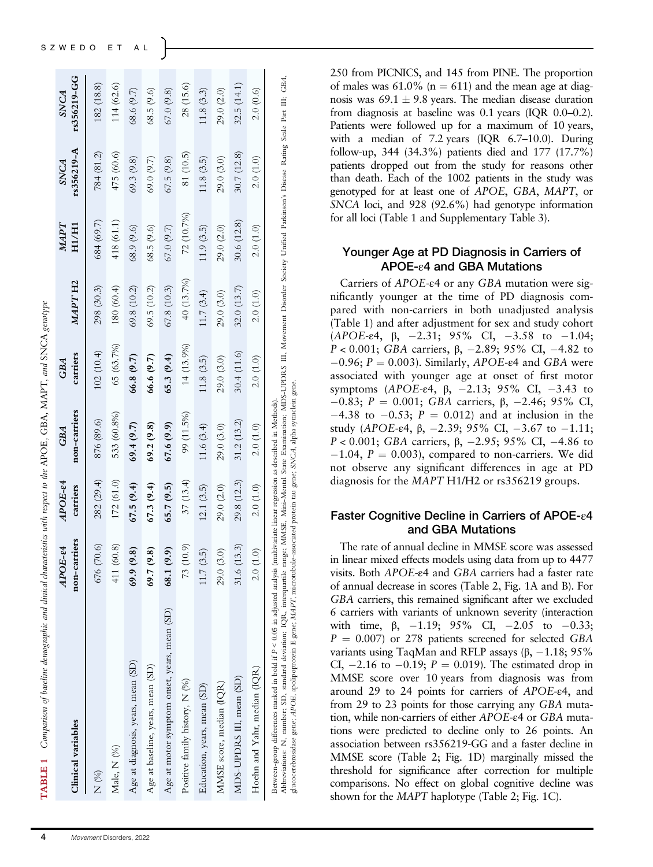| Clinical variables                                                                                                                                                                                                                                                                                                                                                                                                                                                                           | non-carriers<br>APOE-84 | $ADOE$ -e4<br>carriers | non-carriers<br><b>GBA</b> | carriers<br><b>GBA</b> | MAPTH <sub>2</sub> | NAPT<br>H1/H1 | rs356219-A<br><b>SNCA</b> | rs356219-GG<br>SNCA |
|----------------------------------------------------------------------------------------------------------------------------------------------------------------------------------------------------------------------------------------------------------------------------------------------------------------------------------------------------------------------------------------------------------------------------------------------------------------------------------------------|-------------------------|------------------------|----------------------------|------------------------|--------------------|---------------|---------------------------|---------------------|
| K (%)                                                                                                                                                                                                                                                                                                                                                                                                                                                                                        | $\odot$<br>676 (70      | 282 (29.4)             | 876 (89.6)                 | 102(10.4)              | 298 (30.3)         | 684 (69.7)    | 784 (81.2)                | 182 (18.8)          |
| Male, N (%)                                                                                                                                                                                                                                                                                                                                                                                                                                                                                  | 411 (60.8)              | 172 (61.0)             | 533 (60.8%)                | 65 (63.7%)             | 180 (60.4)         | 418 (61.1)    | 475 (60.6)                | 114 (62.6)          |
| Age at diagnosis, years, mean (SD)                                                                                                                                                                                                                                                                                                                                                                                                                                                           | 69.9(9.8)               | 67.5(9.4)              | 69.4(9.7)                  | 66.8(9.7)              | 69.8 (10.2)        | 68.9 (9.6)    | 69.3(9.8)                 | 68.6 (9.7)          |
| Age at baseline, years, mean (SD)                                                                                                                                                                                                                                                                                                                                                                                                                                                            | 69.7(9.8)               | 67.3(9.4)              | 69.2(9.8)                  | 66.6 (9.7)             | 69.5(10.2)         | 68.5(9.6)     | 69.0 (9.7)                | 68.5 (9.6)          |
| Age at motor symptom onset, years, mean (SD)                                                                                                                                                                                                                                                                                                                                                                                                                                                 | 68.1 (9.9)              | 65.7(9.5)              | 67.6(9.9)                  | 65.3(9.4)              | 67.8 (10.3)        | 67.0(9.7)     | 67.5(9.8)                 | 67.0(9.8)           |
| Positive family history, N (%)                                                                                                                                                                                                                                                                                                                                                                                                                                                               | 73 (10.9)               | 37(13.4)               | 99 (11.5%)                 | 14 (13.9%)             | 40 (13.7%)         | 72 (10.7%)    | 81 (10.5)                 | 28 (15.6)           |
| Education, years, mean (SD)                                                                                                                                                                                                                                                                                                                                                                                                                                                                  | 11.7(3.5)               | 12.1(3.5)              | 11.6(3.4)                  | 11.8(3.5)              | 11.7(3.4)          | 11.9(3.5)     | 11.8(3.5)                 | 11.8(3.3)           |
| MMSE score, median (IQR)                                                                                                                                                                                                                                                                                                                                                                                                                                                                     | 29.0 (3.0)              | 29.0 (2.0)             | 29.0 (3.0)                 | 29.0 (3.0)             | 29.0 (3.0)         | 29.0 (2.0)    | 29.0(3.0)                 | 29.0 (2.0)          |
| MDS-UPDRS III, mean (SD)                                                                                                                                                                                                                                                                                                                                                                                                                                                                     | 31.6(13.3)              | 29.8 (12.3)            | 31.2(13.2)                 | 30.4(11.6)             | 32.0(13.7)         | 30.6(12.8)    | 30.7 (12.8)               | 32.5(14.1)          |
| Hoehn and Yahr, median (IQR)                                                                                                                                                                                                                                                                                                                                                                                                                                                                 | 2.0(1.0)                | 2.0(1.0)               | 2.0(1.0)                   | 2.0(1.0)               | 2.0(1.0)           | 2.0(1.0)      | 2.0(1.0)                  | 2.0(0.6)            |
| Abbreviations: N, number; SD, standard deviation; IQR, interquartile range; MMSE, Mini-Mental State Examination; MDS-UPDRS III, Movement Disorder Society Unified Parkinson's Disease Rating Scale Part III; GBA,<br>glucocerebrosidase gene; APOE, apolipoprotein E gene; MAPT, microtubule-associated protein tau gene; SNCA, alpha synuclein gene.<br>Between-group differences marked in bold if P < 0.05 in adjusted analysis (multivariate linear regression as described in Methods). |                         |                        |                            |                        |                    |               |                           |                     |

250 from PICNICS, and 145 from PINE. The proportion of males was  $61.0\%$  (n = 611) and the mean age at diagnosis was  $69.1 \pm 9.8$  years. The median disease duration from diagnosis at baseline was 0.1 years (IQR 0.0–0.2). Patients were followed up for a maximum of 10 years, with a median of 7.2 years (IQR 6.7–10.0). During follow-up, 344 (34.3%) patients died and 177 (17.7%) patients dropped out from the study for reasons other than death. Each of the 1002 patients in the study was genotyped for at least one of APOE, GBA, MAPT, or SNCA loci, and 928 (92.6%) had genotype information for all loci (Table 1 and Supplementary Table 3).

### Younger Age at PD Diagnosis in Carriers of APOE-ε4 and GBA Mutations

Carriers of APOE-ε4 or any GBA mutation were significantly younger at the time of PD diagnosis compared with non-carriers in both unadjusted analysis (Table 1) and after adjustment for sex and study cohort (APOE-ε4,  $\beta$ , -2.31; 95% CI, -3.58 to -1.04; P < 0.001; GBA carriers, β, -2.89; 95% CI, -4.82 to  $-0.96$ ;  $P = 0.003$ ). Similarly, APOE- $\epsilon$ 4 and GBA were associated with younger age at onset of first motor symptoms (APOE-ε4, β, -2.13; 95% CI, -3.43 to  $-0.83$ ; P = 0.001; GBA carriers, β, -2.46; 95% CI,  $-4.38$  to  $-0.53$ ;  $P = 0.012$ ) and at inclusion in the study (APOE-ε4,  $\beta$ , -2.39; 95% CI, -3.67 to -1.11; P < 0.001; GBA carriers,  $\beta$ , -2.95; 95% CI, -4.86 to  $-1.04$ ,  $P = 0.003$ ), compared to non-carriers. We did not observe any significant differences in age at PD diagnosis for the MAPT H1/H2 or rs356219 groups.

## Faster Cognitive Decline in Carriers of APOE-ε4 and GBA Mutations

The rate of annual decline in MMSE score was assessed in linear mixed effects models using data from up to 4477 visits. Both APOE-ε4 and GBA carriers had a faster rate of annual decrease in scores (Table 2, Fig. 1A and B). For GBA carriers, this remained significant after we excluded 6 carriers with variants of unknown severity (interaction with time,  $\beta$ , -1.19; 95% CI, -2.05 to -0.33;  $P = 0.007$ ) or 278 patients screened for selected GBA variants using TaqMan and RFLP assays  $(β, -1.18; 95%$ CI,  $-2.16$  to  $-0.19$ ;  $P = 0.019$ ). The estimated drop in MMSE score over 10 years from diagnosis was from around 29 to 24 points for carriers of APOE-ε4, and from 29 to 23 points for those carrying any GBA mutation, while non-carriers of either APOE-ε4 or GBA mutations were predicted to decline only to 26 points. An association between rs356219-GG and a faster decline in MMSE score (Table 2; Fig. 1D) marginally missed the threshold for significance after correction for multiple comparisons. No effect on global cognitive decline was shown for the MAPT haplotype (Table 2; Fig. 1C).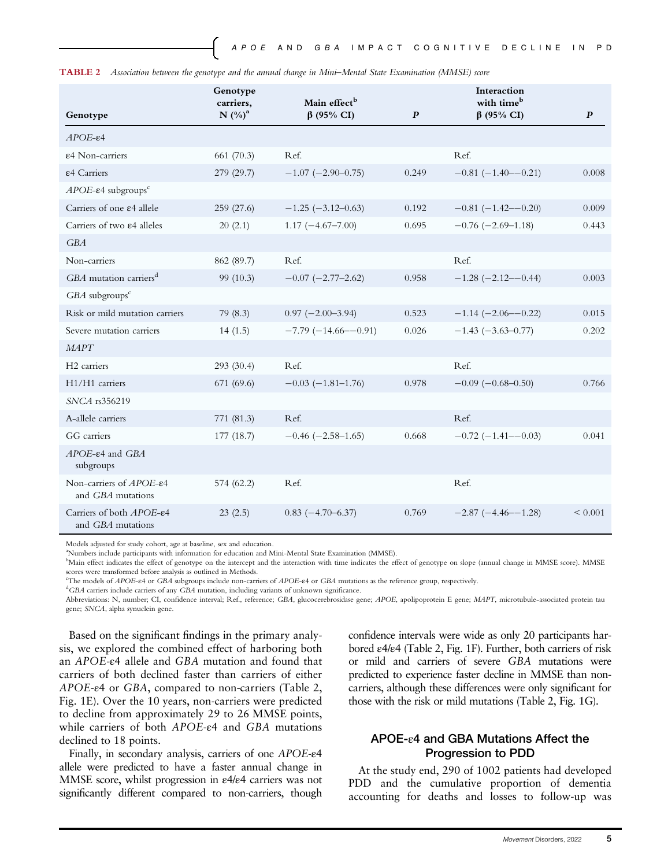| Genotype                                                    | Genotype<br>carriers.<br>$N$ $(\%)^a$ | Main effect <sup>b</sup><br>$\beta$ (95% CI) | $\boldsymbol{P}$ | Interaction<br>with time <sup>b</sup><br>$\beta$ (95% CI) | $\boldsymbol{P}$ |
|-------------------------------------------------------------|---------------------------------------|----------------------------------------------|------------------|-----------------------------------------------------------|------------------|
| $APOE-E4$                                                   |                                       |                                              |                  |                                                           |                  |
| ε4 Non-carriers                                             | 661 (70.3)                            | Ref.                                         |                  | Ref.                                                      |                  |
| ε4 Carriers                                                 | 279 (29.7)                            | $-1.07$ ( $-2.90-0.75$ )                     | 0.249            | $-0.81(-1.40-0.21)$                                       | 0.008            |
| $APOE$ - $\varepsilon$ 4 subgroups <sup>c</sup>             |                                       |                                              |                  |                                                           |                  |
| Carriers of one $\varepsilon$ 4 allele                      | 259(27.6)                             | $-1.25$ ( $-3.12 - 0.63$ )                   | 0.192            | $-0.81(-1.42 - 0.20)$                                     | 0.009            |
| Carriers of two $\varepsilon$ 4 alleles                     | 20(2.1)                               | $1.17(-4.67-7.00)$                           | 0.695            | $-0.76$ ( $-2.69-1.18$ )                                  | 0.443            |
| GBA                                                         |                                       |                                              |                  |                                                           |                  |
| Non-carriers                                                | 862 (89.7)                            | Ref.                                         |                  | Ref.                                                      |                  |
| GBA mutation carriers <sup>d</sup>                          | 99 (10.3)                             | $-0.07$ $(-2.77-2.62)$                       | 0.958            | $-1.28$ ( $-2.12$ - $-0.44$ )                             | 0.003            |
| $GBA$ subgroups <sup>c</sup>                                |                                       |                                              |                  |                                                           |                  |
| Risk or mild mutation carriers                              | 79(8.3)                               | $0.97 (-2.00 - 3.94)$                        | 0.523            | $-1.14 (-2.06 - 0.22)$                                    | 0.015            |
| Severe mutation carriers                                    | 14(1.5)                               | $-7.79(-14.66 - -0.91)$                      | 0.026            | $-1.43$ ( $-3.63 - 0.77$ )                                | 0.202            |
| <b>MAPT</b>                                                 |                                       |                                              |                  |                                                           |                  |
| H <sub>2</sub> carriers                                     | 293 (30.4)                            | Ref.                                         |                  | Ref.                                                      |                  |
| H1/H1 carriers                                              | 671 (69.6)                            | $-0.03$ ( $-1.81-1.76$ )                     | 0.978            | $-0.09$ ( $-0.68 - 0.50$ )                                | 0.766            |
| SNCA rs356219                                               |                                       |                                              |                  |                                                           |                  |
| A-allele carriers                                           | 771 (81.3)                            | Ref.                                         |                  | Ref.                                                      |                  |
| GG carriers                                                 | 177(18.7)                             | $-0.46$ ( $-2.58-1.65$ )                     | 0.668            | $-0.72$ ( $-1.41$ $-0.03$ )                               | 0.041            |
| $APOE$ - $\varepsilon$ 4 and $GBA$<br>subgroups             |                                       |                                              |                  |                                                           |                  |
| Non-carriers of $APOE-\epsilon4$<br>and GBA mutations       | 574 (62.2)                            | Ref.                                         |                  | Ref.                                                      |                  |
| Carriers of both APOE- $\varepsilon$ 4<br>and GBA mutations | 23(2.5)                               | $0.83(-4.70-6.37)$                           | 0.769            | $-2.87(-4.46 - -1.28)$                                    | ${}_{0.001}$     |

TABLE 2 Association between the genotype and the annual change in Mini–Mental State Examination (MMSE) score

Models adjusted for study cohort, age at baseline, sex and education.

a Numbers include participants with information for education and Mini-Mental State Examination (MMSE).

<sup>b</sup>Main effect indicates the effect of genotype on the intercept and the interaction with time indicates the effect of genotype on slope (annual change in MMSE score). MMSE scores were transformed before analysis as outlined in Methods.

<sup>c</sup>The models of APOE-ε4 or GBA subgroups include non-carriers of APOE-ε4 or GBA mutations as the reference group, respectively.

GBA carriers include carriers of any GBA mutation, including variants of unknown significance.

Abbreviations: N, number; CI, confidence interval; Ref., reference; GBA, glucocerebrosidase gene; APOE, apolipoprotein E gene; MAPT, microtubule-associated protein tau gene; SNCA, alpha synuclein gene.

Based on the significant findings in the primary analysis, we explored the combined effect of harboring both an APOE-ε4 allele and GBA mutation and found that carriers of both declined faster than carriers of either APOE-ε4 or GBA, compared to non-carriers (Table 2, Fig. 1E). Over the 10 years, non-carriers were predicted to decline from approximately 29 to 26 MMSE points, while carriers of both APOE-ε4 and GBA mutations declined to 18 points.

Finally, in secondary analysis, carriers of one APOE-ε<sup>4</sup> allele were predicted to have a faster annual change in MMSE score, whilst progression in ε4/ε4 carriers was not significantly different compared to non-carriers, though confidence intervals were wide as only 20 participants harbored ε4/ε4 (Table 2, Fig. 1F). Further, both carriers of risk or mild and carriers of severe GBA mutations were predicted to experience faster decline in MMSE than noncarriers, although these differences were only significant for those with the risk or mild mutations (Table 2, Fig. 1G).

## APOE-ε4 and GBA Mutations Affect the Progression to PDD

At the study end, 290 of 1002 patients had developed PDD and the cumulative proportion of dementia accounting for deaths and losses to follow-up was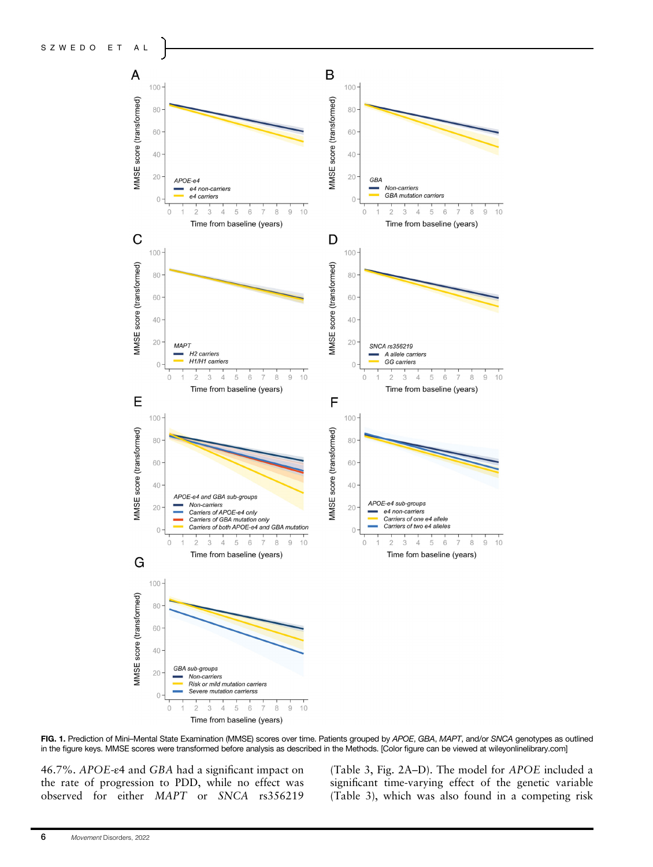

FIG. 1. Prediction of Mini–Mental State Examination (MMSE) scores over time. Patients grouped by APOE, GBA, MAPT, and/or SNCA genotypes as outlined in the figure keys. MMSE scores were transformed before analysis as described in the Methods. [Color figure can be viewed at [wileyonlinelibrary.com](http://wileyonlinelibrary.com)]

46.7%. APOE-ε4 and GBA had a significant impact on the rate of progression to PDD, while no effect was observed for either MAPT or SNCA rs356219 (Table 3, Fig. 2A–D). The model for APOE included a significant time-varying effect of the genetic variable (Table 3), which was also found in a competing risk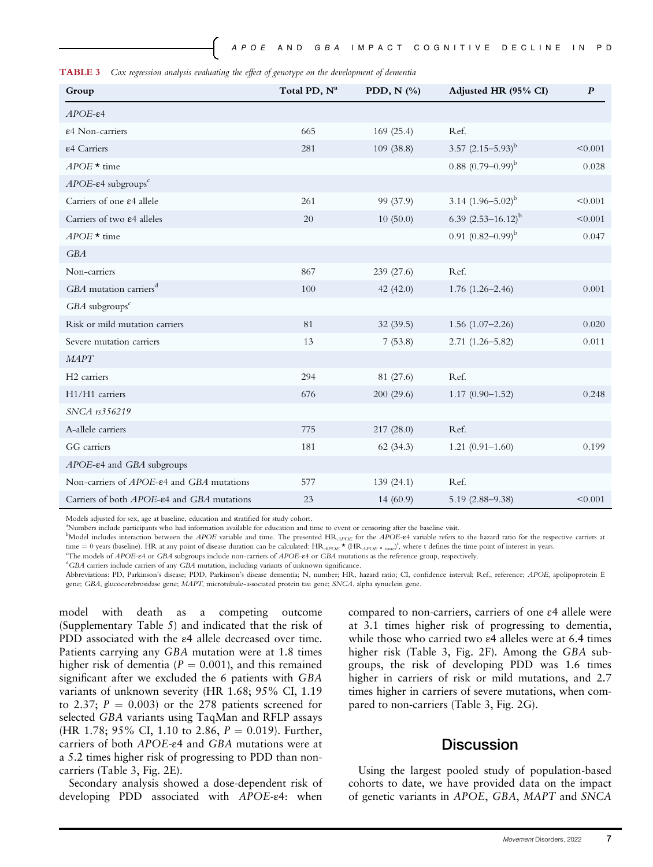| <b>TABLE 3</b> Cox regression analysis evaluating the effect of genotype on the development of dementia |  |  |  |  |
|---------------------------------------------------------------------------------------------------------|--|--|--|--|

| Group                                                    | Total PD, N <sup>a</sup> | PDD, $N$ $(\%$ | Adjusted HR (95% CI)      | $\boldsymbol{P}$ |
|----------------------------------------------------------|--------------------------|----------------|---------------------------|------------------|
| $APOE-ε4$                                                |                          |                |                           |                  |
| ε4 Non-carriers                                          | 665                      | 169(25.4)      | Ref.                      |                  |
| ε4 Carriers                                              | 281                      | 109(38.8)      | 3.57 $(2.15-5.93)^{b}$    | < 0.001          |
| $APOE \star$ time                                        |                          |                | $(0.88)(0.79-0.99)^{b}$   | 0.028            |
| $APOE$ - $\varepsilon$ 4 subgroups <sup>c</sup>          |                          |                |                           |                  |
| Carriers of one $\varepsilon$ 4 allele                   | 261                      | 99 (37.9)      | 3.14 $(1.96-5.02)^{b}$    | < 0.001          |
| Carriers of two $\varepsilon$ 4 alleles                  | 20                       | 10(50.0)       | 6.39 $(2.53 - 16.12)^{b}$ | < 0.001          |
| $APOE \star$ time                                        |                          |                | 0.91 $(0.82 - 0.99)^{b}$  | 0.047            |
| <b>GBA</b>                                               |                          |                |                           |                  |
| Non-carriers                                             | 867                      | 239 (27.6)     | Ref.                      |                  |
| GBA mutation carriers <sup>d</sup>                       | 100                      | 42(42.0)       | $1.76(1.26 - 2.46)$       | 0.001            |
| GBA subgroups <sup>c</sup>                               |                          |                |                           |                  |
| Risk or mild mutation carriers                           | 81                       | 32(39.5)       | $1.56(1.07-2.26)$         | 0.020            |
| Severe mutation carriers                                 | 13                       | 7(53.8)        | $2.71(1.26 - 5.82)$       | 0.011            |
| <b>MAPT</b>                                              |                          |                |                           |                  |
| H <sub>2</sub> carriers                                  | 294                      | 81 (27.6)      | Ref.                      |                  |
| H1/H1 carriers                                           | 676                      | 200(29.6)      | $1.17(0.90-1.52)$         | 0.248            |
| SNCA rs356219                                            |                          |                |                           |                  |
| A-allele carriers                                        | 775                      | 217(28.0)      | Ref.                      |                  |
| GG carriers                                              | 181                      | 62(34.3)       | $1.21(0.91 - 1.60)$       | 0.199            |
| $APOE$ - $\varepsilon$ 4 and GBA subgroups               |                          |                |                           |                  |
| Non-carriers of APOE-ε4 and GBA mutations                | 577                      | 139(24.1)      | Ref.                      |                  |
| Carriers of both APOE- $\varepsilon$ 4 and GBA mutations | 23                       | 14(60.9)       | 5.19 (2.88-9.38)          | < 0.001          |

Models adjusted for sex, age at baseline, education and stratified for study cohort.

Numbers include participants who had information available for education and time to event or censoring after the baseline visit.

bModel includes interaction between the APOE variable and time. The presented HR<sub>APOE</sub> for the APOE-e4 variable refers to the hazard ratio for the respective carriers at time = 0 years (baseline). HR at any point of disease duration can be calculated:  $HR_{ADOE} \star (HR_{ADOE} \star_{time})^t$ , where t defines the time point of interest in years.

The models of APOE-ε4 or GBA subgroups include non-carriers of APOE-ε4 or GBA mutations as the reference group, respectively. <sup>d</sup>

GBA carriers include carriers of any GBA mutation, including variants of unknown significance.

Abbreviations: PD, Parkinson's disease; PDD, Parkinson's disease dementia; N, number; HR, hazard ratio; CI, confidence interval; Ref., reference; APOE, apolipoprotein E gene; GBA, glucocerebrosidase gene; MAPT, microtubule-associated protein tau gene; SNCA, alpha synuclein gene.

model with death as a competing outcome (Supplementary Table 5) and indicated that the risk of PDD associated with the ε4 allele decreased over time. Patients carrying any GBA mutation were at 1.8 times higher risk of dementia ( $P = 0.001$ ), and this remained significant after we excluded the 6 patients with GBA variants of unknown severity (HR 1.68; 95% CI, 1.19 to 2.37;  $P = 0.003$ ) or the 278 patients screened for selected GBA variants using TaqMan and RFLP assays (HR 1.78; 95% CI, 1.10 to 2.86,  $P = 0.019$ ). Further, carriers of both APOE-ε4 and GBA mutations were at a 5.2 times higher risk of progressing to PDD than noncarriers (Table 3, Fig. 2E).

Secondary analysis showed a dose-dependent risk of developing PDD associated with APOE-ε4: when

compared to non-carriers, carriers of one ε4 allele were at 3.1 times higher risk of progressing to dementia, while those who carried two ε4 alleles were at 6.4 times higher risk (Table 3, Fig. 2F). Among the GBA subgroups, the risk of developing PDD was 1.6 times higher in carriers of risk or mild mutations, and 2.7 times higher in carriers of severe mutations, when compared to non-carriers (Table 3, Fig. 2G).

## **Discussion**

Using the largest pooled study of population-based cohorts to date, we have provided data on the impact of genetic variants in APOE, GBA, MAPT and SNCA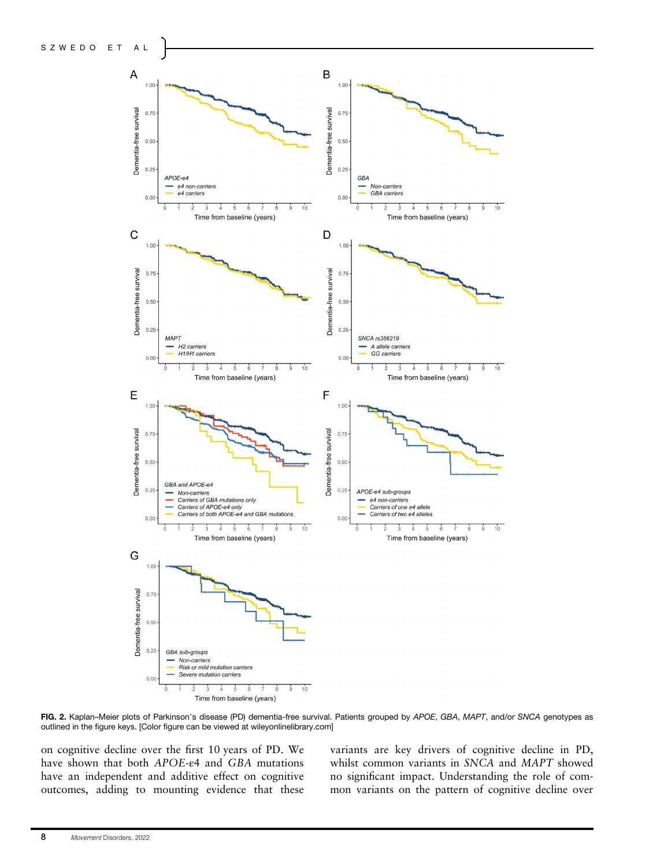

FIG. 2. Kaplan–Meier plots of Parkinson's disease (PD) dementia-free survival. Patients grouped by APOE, GBA, MAPT, and/or SNCA genotypes as outlined in the figure keys. [Color figure can be viewed at [wileyonlinelibrary.com](http://wileyonlinelibrary.com)]

on cognitive decline over the first 10 years of PD. We have shown that both APOE-ε4 and GBA mutations have an independent and additive effect on cognitive outcomes, adding to mounting evidence that these variants are key drivers of cognitive decline in PD, whilst common variants in SNCA and MAPT showed no significant impact. Understanding the role of common variants on the pattern of cognitive decline over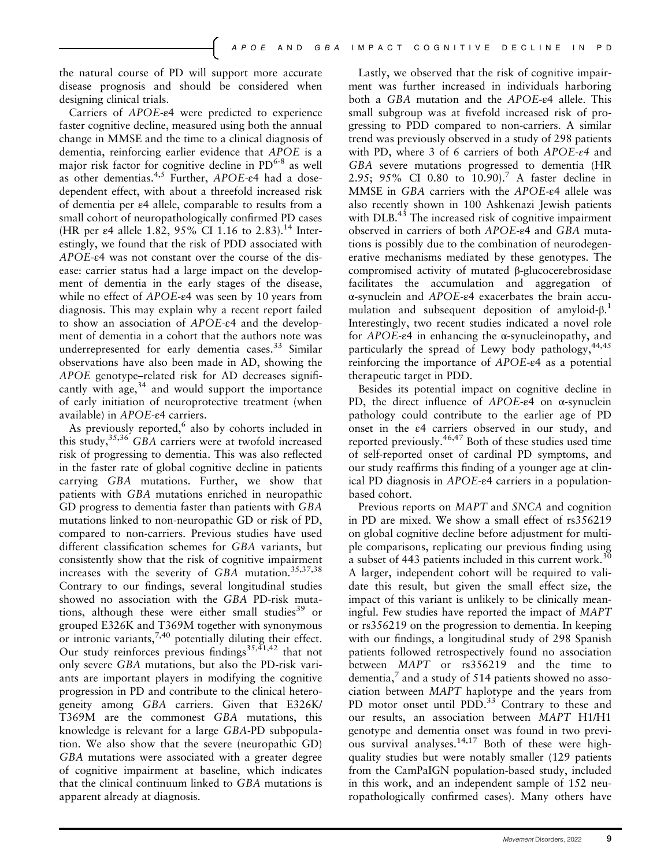the natural course of PD will support more accurate disease prognosis and should be considered when designing clinical trials.

Carriers of APOE-ε4 were predicted to experience faster cognitive decline, measured using both the annual change in MMSE and the time to a clinical diagnosis of dementia, reinforcing earlier evidence that APOE is a major risk factor for cognitive decline in  $PD^{6-8}$  as well as other dementias.4,5 Further, APOE-ε4 had a dosedependent effect, with about a threefold increased risk of dementia per ε4 allele, comparable to results from a small cohort of neuropathologically confirmed PD cases (HR per  $\varepsilon$ 4 allele 1.82, 95% CI 1.16 to 2.83).<sup>14</sup> Interestingly, we found that the risk of PDD associated with APOE-ε4 was not constant over the course of the disease: carrier status had a large impact on the development of dementia in the early stages of the disease, while no effect of APOE-ε4 was seen by 10 years from diagnosis. This may explain why a recent report failed to show an association of APOE-ε4 and the development of dementia in a cohort that the authors note was underrepresented for early dementia cases.<sup>33</sup> Similar observations have also been made in AD, showing the APOE genotype–related risk for AD decreases significantly with age, $34$  and would support the importance of early initiation of neuroprotective treatment (when available) in APOE-ε4 carriers.

As previously reported, $6$  also by cohorts included in this study,  $35,36$  GBA carriers were at twofold increased risk of progressing to dementia. This was also reflected in the faster rate of global cognitive decline in patients carrying GBA mutations. Further, we show that patients with GBA mutations enriched in neuropathic GD progress to dementia faster than patients with GBA mutations linked to non-neuropathic GD or risk of PD, compared to non-carriers. Previous studies have used different classification schemes for GBA variants, but consistently show that the risk of cognitive impairment increases with the severity of GBA mutation.35,37,38 Contrary to our findings, several longitudinal studies showed no association with the GBA PD-risk mutations, although these were either small studies<sup>39</sup> or grouped E326K and T369M together with synonymous or intronic variants,  $7,40$  potentially diluting their effect. Our study reinforces previous findings<sup>35,41,42</sup> that not only severe GBA mutations, but also the PD-risk variants are important players in modifying the cognitive progression in PD and contribute to the clinical heterogeneity among GBA carriers. Given that E326K/ T369M are the commonest GBA mutations, this knowledge is relevant for a large GBA-PD subpopulation. We also show that the severe (neuropathic GD) GBA mutations were associated with a greater degree of cognitive impairment at baseline, which indicates that the clinical continuum linked to GBA mutations is apparent already at diagnosis.

Lastly, we observed that the risk of cognitive impairment was further increased in individuals harboring both a GBA mutation and the APOE-ε4 allele. This small subgroup was at fivefold increased risk of progressing to PDD compared to non-carriers. A similar trend was previously observed in a study of 298 patients with PD, where 3 of 6 carriers of both  $APOE-*e*4$  and GBA severe mutations progressed to dementia (HR 2.95; 95% CI 0.80 to 10.90).<sup>7</sup> A faster decline in MMSE in GBA carriers with the APOE-ε4 allele was also recently shown in 100 Ashkenazi Jewish patients with DLB.<sup>43</sup> The increased risk of cognitive impairment observed in carriers of both APOE-ε4 and GBA mutations is possibly due to the combination of neurodegenerative mechanisms mediated by these genotypes. The compromised activity of mutated β-glucocerebrosidase facilitates the accumulation and aggregation of <sup>α</sup>-synuclein and APOE-ε4 exacerbates the brain accumulation and subsequent deposition of amyloid-β. 1 Interestingly, two recent studies indicated a novel role for APOE-ε4 in enhancing the <sup>α</sup>-synucleinopathy, and particularly the spread of Lewy body pathology,  $44,45$ reinforcing the importance of APOE-ε4 as a potential therapeutic target in PDD.

Besides its potential impact on cognitive decline in PD, the direct influence of  $APOE-<sub>e</sub>4$  on  $\alpha$ -synuclein pathology could contribute to the earlier age of PD onset in the ε4 carriers observed in our study, and reported previously.46,47 Both of these studies used time of self-reported onset of cardinal PD symptoms, and our study reaffirms this finding of a younger age at clinical PD diagnosis in APOE-ε4 carriers in a populationbased cohort.

Previous reports on MAPT and SNCA and cognition in PD are mixed. We show a small effect of rs356219 on global cognitive decline before adjustment for multiple comparisons, replicating our previous finding using a subset of 443 patients included in this current work.<sup>30</sup> A larger, independent cohort will be required to validate this result, but given the small effect size, the impact of this variant is unlikely to be clinically meaningful. Few studies have reported the impact of MAPT or rs356219 on the progression to dementia. In keeping with our findings, a longitudinal study of 298 Spanish patients followed retrospectively found no association between MAPT or rs356219 and the time to dementia, $\frac{7}{7}$  and a study of 514 patients showed no association between MAPT haplotype and the years from PD motor onset until PDD.<sup>33</sup> Contrary to these and our results, an association between MAPT H1/H1 genotype and dementia onset was found in two previous survival analyses.<sup>14,17</sup> Both of these were highquality studies but were notably smaller (129 patients from the CamPaIGN population-based study, included in this work, and an independent sample of 152 neuropathologically confirmed cases). Many others have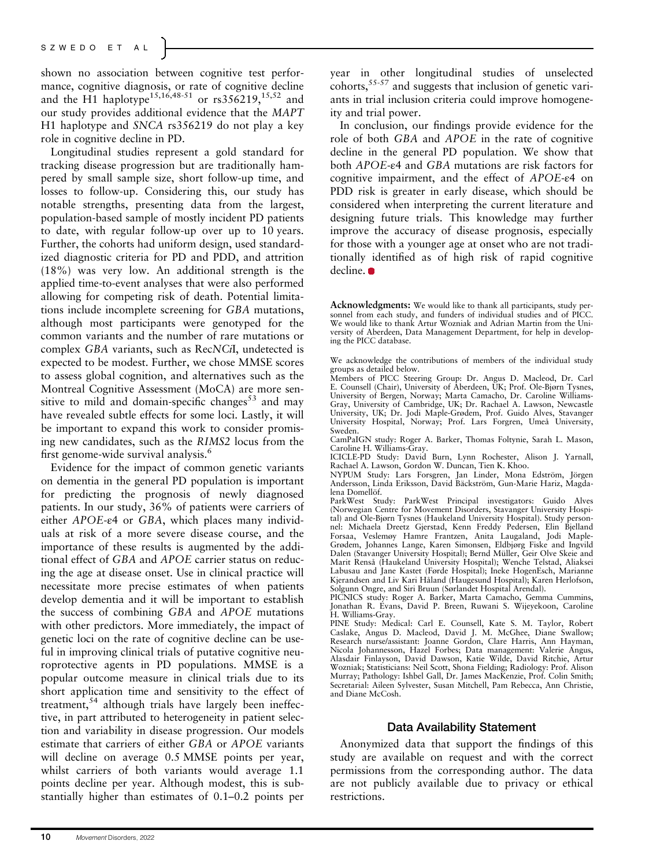shown no association between cognitive test performance, cognitive diagnosis, or rate of cognitive decline and the H1 haplotype<sup>15,16,48-51</sup> or  $rs356219, ^{15,52}$  and our study provides additional evidence that the MAPT H1 haplotype and SNCA rs356219 do not play a key role in cognitive decline in PD.

Longitudinal studies represent a gold standard for tracking disease progression but are traditionally hampered by small sample size, short follow-up time, and losses to follow-up. Considering this, our study has notable strengths, presenting data from the largest, population-based sample of mostly incident PD patients to date, with regular follow-up over up to 10 years. Further, the cohorts had uniform design, used standardized diagnostic criteria for PD and PDD, and attrition (18%) was very low. An additional strength is the applied time-to-event analyses that were also performed allowing for competing risk of death. Potential limitations include incomplete screening for GBA mutations, although most participants were genotyped for the common variants and the number of rare mutations or complex GBA variants, such as RecNCiI, undetected is expected to be modest. Further, we chose MMSE scores to assess global cognition, and alternatives such as the Montreal Cognitive Assessment (MoCA) are more sensitive to mild and domain-specific changes $53$  and may have revealed subtle effects for some loci. Lastly, it will be important to expand this work to consider promising new candidates, such as the RIMS2 locus from the first genome-wide survival analysis.<sup>6</sup>

Evidence for the impact of common genetic variants on dementia in the general PD population is important for predicting the prognosis of newly diagnosed patients. In our study, 36% of patients were carriers of either APOE-ε4 or GBA, which places many individuals at risk of a more severe disease course, and the importance of these results is augmented by the additional effect of GBA and APOE carrier status on reducing the age at disease onset. Use in clinical practice will necessitate more precise estimates of when patients develop dementia and it will be important to establish the success of combining GBA and APOE mutations with other predictors. More immediately, the impact of genetic loci on the rate of cognitive decline can be useful in improving clinical trials of putative cognitive neuroprotective agents in PD populations. MMSE is a popular outcome measure in clinical trials due to its short application time and sensitivity to the effect of treatment,<sup>54</sup> although trials have largely been ineffective, in part attributed to heterogeneity in patient selection and variability in disease progression. Our models estimate that carriers of either GBA or APOE variants will decline on average 0.5 MMSE points per year, whilst carriers of both variants would average 1.1 points decline per year. Although modest, this is substantially higher than estimates of 0.1–0.2 points per year in other longitudinal studies of unselected  $\overline{\text{cohorts}}$ ,  $\overline{\text{S5-57}}$  and suggests that inclusion of genetic variants in trial inclusion criteria could improve homogeneity and trial power.

In conclusion, our findings provide evidence for the role of both GBA and APOE in the rate of cognitive decline in the general PD population. We show that both APOE-ε4 and GBA mutations are risk factors for cognitive impairment, and the effect of APOE-ε4 on PDD risk is greater in early disease, which should be considered when interpreting the current literature and designing future trials. This knowledge may further improve the accuracy of disease prognosis, especially for those with a younger age at onset who are not traditionally identified as of high risk of rapid cognitive decline.  $\bullet$ 

CamPaIGN study: Roger A. Barker, Thomas Foltynie, Sarah L. Mason, Caroline H. Williams-Gray.

ICICLE-PD Study: David Burn, Lynn Rochester, Alison J. Yarnall, Rachael A. Lawson, Gordon W. Duncan, Tien K. Khoo.

NYPUM Study: Lars Forsgren, Jan Linder, Mona Edström, Jörgen Andersson, Linda Eriksson, David Bäckström, Gun-Marie Hariz, Magdalena Domellöf.

ParkWest Study: ParkWest Principal investigators: Guido Alves (Norwegian Centre for Movement Disorders, Stavanger University Hospital) and Ole-Bjørn Tysnes (Haukeland University Hospital). Study personnel: Michaela Dreetz Gjerstad, Kenn Freddy Pedersen, Elin Bjelland Forsaa, Veslemøy Hamre Frantzen, Anita Laugaland, Jodi Maple-Grødem, Johannes Lange, Karen Simonsen, Eldbjørg Fiske and Ingvild Dalen (Stavanger University Hospital); Bernd Müller, Geir Olve Skeie and Marit Renså (Haukeland University Hospital); Wenche Telstad, Aliaksei Labusau and Jane Kastet (Førde Hospital); Ineke HogenEsch, Marianne Kjerandsen and Liv Kari Håland (Haugesund Hospital); Karen Herlofson, Solgunn Ongre, and Siri Bruun (Sørlandet Hospital Arendal).

PICNICS study: Roger A. Barker, Marta Camacho, Gemma Cummins, Jonathan R. Evans, David P. Breen, Ruwani S. Wijeyekoon, Caroline H. Williams-Gray.

PINE Study: Medical: Carl E. Counsell, Kate S. M. Taylor, Robert Caslake, Angus D. Macleod, David J. M. McGhee, Diane Swallow; Research nurse/assistant: Joanne Gordon, Clare Harris, Ann Hayman, Nicola Johannesson, Hazel Forbes; Data management: Valerie Angus, Alasdair Finlayson, David Dawson, Katie Wilde, David Ritchie, Artur Wozniak; Statisticians: Neil Scott, Shona Fielding; Radiology: Prof. Alison Murray; Pathology: Ishbel Gall, Dr. James MacKenzie, Prof. Colin Smith; Secretarial: Aileen Sylvester, Susan Mitchell, Pam Rebecca, Ann Christie, and Diane McCosh.

## Data Availability Statement

Anonymized data that support the findings of this study are available on request and with the correct permissions from the corresponding author. The data are not publicly available due to privacy or ethical restrictions.

Acknowledgments: We would like to thank all participants, study personnel from each study, and funders of individual studies and of PICC. We would like to thank Artur Wozniak and Adrian Martin from the University of Aberdeen, Data Management Department, for help in developing the PICC database.

We acknowledge the contributions of members of the individual study groups as detailed below.

Members of PICC Steering Group: Dr. Angus D. Macleod, Dr. Carl E. Counsell (Chair), University of Aberdeen, UK; Prof. Ole-Bjørn Tysnes, University of Bergen, Norway; Marta Camacho, Dr. Caroline Williams-Gray, University of Cambridge, UK; Dr. Rachael A. Lawson, Newcastle University, UK; Dr. Jodi Maple-Grødem, Prof. Guido Alves, Stavanger University Hospital, Norway; Prof. Lars Forgren, Umeå University, Sweden.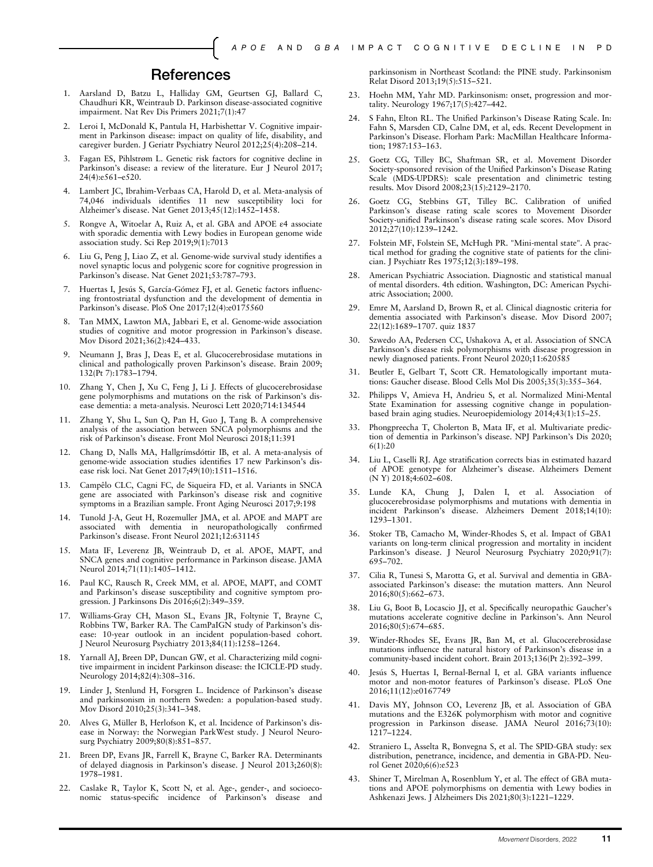## **References**

- 1. Aarsland D, Batzu L, Halliday GM, Geurtsen GJ, Ballard C, Chaudhuri KR, Weintraub D. Parkinson disease-associated cognitive impairment. Nat Rev Dis Primers 2021;7(1):47
- 2. Leroi I, McDonald K, Pantula H, Harbishettar V. Cognitive impairment in Parkinson disease: impact on quality of life, disability, and caregiver burden. J Geriatr Psychiatry Neurol 2012;25(4):208–214.
- 3. Fagan ES, Pihlstrøm L. Genetic risk factors for cognitive decline in Parkinson's disease: a review of the literature. Eur J Neurol 2017; 24(4):e561–e520.
- 4. Lambert JC, Ibrahim-Verbaas CA, Harold D, et al. Meta-analysis of 74,046 individuals identifies 11 new susceptibility loci for Alzheimer's disease. Nat Genet 2013;45(12):1452–1458.
- 5. Rongve A, Witoelar A, Ruiz A, et al. GBA and APOE ε4 associate with sporadic dementia with Lewy bodies in European genome wide association study. Sci Rep 2019;9(1):7013
- 6. Liu G, Peng J, Liao Z, et al. Genome-wide survival study identifies a novel synaptic locus and polygenic score for cognitive progression in Parkinson's disease. Nat Genet 2021;53:787–793.
- 7. Huertas I, Jesús S, García-Gómez FJ, et al. Genetic factors influencing frontostriatal dysfunction and the development of dementia in Parkinson's disease. PloS One 2017;12(4):e0175560
- 8. Tan MMX, Lawton MA, Jabbari E, et al. Genome-wide association studies of cognitive and motor progression in Parkinson's disease. Mov Disord 2021;36(2):424–433.
- Neumann J, Bras J, Deas E, et al. Glucocerebrosidase mutations in clinical and pathologically proven Parkinson's disease. Brain 2009; 132(Pt 7):1783–1794.
- 10. Zhang Y, Chen J, Xu C, Feng J, Li J. Effects of glucocerebrosidase gene polymorphisms and mutations on the risk of Parkinson's disease dementia: a meta-analysis. Neurosci Lett 2020;714:134544
- 11. Zhang Y, Shu L, Sun Q, Pan H, Guo J, Tang B. A comprehensive analysis of the association between SNCA polymorphisms and the risk of Parkinson's disease. Front Mol Neurosci 2018;11:391
- 12. Chang D, Nalls MA, Hallgrímsdóttir IB, et al. A meta-analysis of genome-wide association studies identifies 17 new Parkinson's disease risk loci. Nat Genet 2017;49(10):1511–1516.
- 13. Campêlo CLC, Cagni FC, de Siqueira FD, et al. Variants in SNCA gene are associated with Parkinson's disease risk and cognitive symptoms in a Brazilian sample. Front Aging Neurosci 2017;9:198
- 14. Tunold J-A, Geut H, Rozemuller JMA, et al. APOE and MAPT are associated with dementia in neuropathologically confirmed Parkinson's disease. Front Neurol 2021;12:631145
- 15. Mata IF, Leverenz JB, Weintraub D, et al. APOE, MAPT, and SNCA genes and cognitive performance in Parkinson disease. JAMA Neurol 2014;71(11):1405–1412.
- 16. Paul KC, Rausch R, Creek MM, et al. APOE, MAPT, and COMT and Parkinson's disease susceptibility and cognitive symptom progression. J Parkinsons Dis 2016;6(2):349–359.
- 17. Williams-Gray CH, Mason SL, Evans JR, Foltynie T, Brayne C, Robbins TW, Barker RA. The CamPaIGN study of Parkinson's disease: 10-year outlook in an incident population-based cohort. J Neurol Neurosurg Psychiatry 2013;84(11):1258–1264.
- 18. Yarnall AJ, Breen DP, Duncan GW, et al. Characterizing mild cognitive impairment in incident Parkinson disease: the ICICLE-PD study. Neurology 2014;82(4):308–316.
- 19. Linder J, Stenlund H, Forsgren L. Incidence of Parkinson's disease and parkinsonism in northern Sweden: a population-based study. Mov Disord 2010;25(3):341–348.
- 20. Alves G, Müller B, Herlofson K, et al. Incidence of Parkinson's disease in Norway: the Norwegian ParkWest study. J Neurol Neurosurg Psychiatry 2009;80(8):851–857.
- 21. Breen DP, Evans JR, Farrell K, Brayne C, Barker RA. Determinants of delayed diagnosis in Parkinson's disease. J Neurol 2013;260(8): 1978–1981.
- 22. Caslake R, Taylor K, Scott N, et al. Age-, gender-, and socioeconomic status-specific incidence of Parkinson's disease and

parkinsonism in Northeast Scotland: the PINE study. Parkinsonism Relat Disord 2013;19(5):515–521.

- 23. Hoehn MM, Yahr MD. Parkinsonism: onset, progression and mortality. Neurology 1967;17(5):427–442.
- S Fahn, Elton RL. The Unified Parkinson's Disease Rating Scale. In: Fahn S, Marsden CD, Calne DM, et al, eds. Recent Development in Parkinson's Disease. Florham Park: MacMillan Healthcare Information; 1987:153–163.
- 25. Goetz CG, Tilley BC, Shaftman SR, et al. Movement Disorder Society-sponsored revision of the Unified Parkinson's Disease Rating Scale (MDS-UPDRS): scale presentation and clinimetric testing results. Mov Disord 2008;23(15):2129–2170.
- 26. Goetz CG, Stebbins GT, Tilley BC. Calibration of unified Parkinson's disease rating scale scores to Movement Disorder Society-unified Parkinson's disease rating scale scores. Mov Disord 2012;27(10):1239–1242.
- 27. Folstein MF, Folstein SE, McHugh PR. "Mini-mental state". A practical method for grading the cognitive state of patients for the clinician. J Psychiatr Res 1975;12(3):189–198.
- 28. American Psychiatric Association. Diagnostic and statistical manual of mental disorders. 4th edition. Washington, DC: American Psychiatric Association; 2000.
- 29. Emre M, Aarsland D, Brown R, et al. Clinical diagnostic criteria for dementia associated with Parkinson's disease. Mov Disord 2007; 22(12):1689–1707. quiz 1837
- Szwedo AA, Pedersen CC, Ushakova A, et al. Association of SNCA Parkinson's disease risk polymorphisms with disease progression in newly diagnosed patients. Front Neurol 2020;11:620585
- 31. Beutler E, Gelbart T, Scott CR. Hematologically important mutations: Gaucher disease. Blood Cells Mol Dis 2005;35(3):355–364.
- 32. Philipps V, Amieva H, Andrieu S, et al. Normalized Mini-Mental State Examination for assessing cognitive change in populationbased brain aging studies. Neuroepidemiology 2014;43(1):15–25.
- 33. Phongpreecha T, Cholerton B, Mata IF, et al. Multivariate prediction of dementia in Parkinson's disease. NPJ Parkinson's Dis 2020; 6(1):20
- 34. Liu L, Caselli RJ. Age stratification corrects bias in estimated hazard of APOE genotype for Alzheimer's disease. Alzheimers Dement (N Y) 2018;4:602–608.
- 35. Lunde KA, Chung J, Dalen I, et al. Association of glucocerebrosidase polymorphisms and mutations with dementia in incident Parkinson's disease. Alzheimers Dement 2018;14(10): 1293–1301.
- 36. Stoker TB, Camacho M, Winder-Rhodes S, et al. Impact of GBA1 variants on long-term clinical progression and mortality in incident Parkinson's disease. J Neurol Neurosurg Psychiatry 2020;91(7): 695–702.
- 37. Cilia R, Tunesi S, Marotta G, et al. Survival and dementia in GBAassociated Parkinson's disease: the mutation matters. Ann Neurol 2016;80(5):662–673.
- 38. Liu G, Boot B, Locascio JJ, et al. Specifically neuropathic Gaucher's mutations accelerate cognitive decline in Parkinson's. Ann Neurol 2016;80(5):674–685.
- 39. Winder-Rhodes SE, Evans JR, Ban M, et al. Glucocerebrosidase mutations influence the natural history of Parkinson's disease in a community-based incident cohort. Brain 2013;136(Pt 2):392–399.
- 40. Jesús S, Huertas I, Bernal-Bernal I, et al. GBA variants influence motor and non-motor features of Parkinson's disease. PLoS One 2016;11(12):e0167749
- 41. Davis MY, Johnson CO, Leverenz JB, et al. Association of GBA mutations and the E326K polymorphism with motor and cognitive progression in Parkinson disease. JAMA Neurol 2016;73(10): 1217–1224.
- 42. Straniero L, Asselta R, Bonvegna S, et al. The SPID-GBA study: sex distribution, penetrance, incidence, and dementia in GBA-PD. Neurol Genet 2020;6(6):e523
- 43. Shiner T, Mirelman A, Rosenblum Y, et al. The effect of GBA mutations and APOE polymorphisms on dementia with Lewy bodies in Ashkenazi Jews. J Alzheimers Dis 2021;80(3):1221–1229.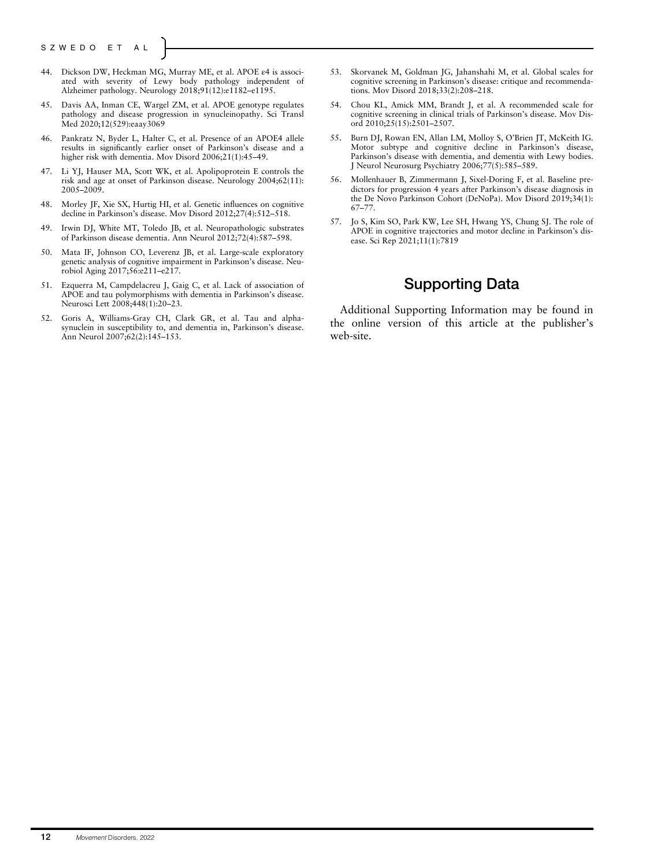- 44. Dickson DW, Heckman MG, Murray ME, et al. APOE ε4 is associated with severity of Lewy body pathology independent of Alzheimer pathology. Neurology 2018;91(12):e1182–e1195.
- 45. Davis AA, Inman CE, Wargel ZM, et al. APOE genotype regulates pathology and disease progression in synucleinopathy. Sci Transl Med 2020;12(529):eaay3069
- 46. Pankratz N, Byder L, Halter C, et al. Presence of an APOE4 allele results in significantly earlier onset of Parkinson's disease and a higher risk with dementia. Mov Disord 2006;21(1):45-49.
- 47. Li YJ, Hauser MA, Scott WK, et al. Apolipoprotein E controls the risk and age at onset of Parkinson disease. Neurology 2004;62(11): 2005–2009.
- 48. Morley JF, Xie SX, Hurtig HI, et al. Genetic influences on cognitive decline in Parkinson's disease. Mov Disord 2012;27(4):512–518.
- 49. Irwin DJ, White MT, Toledo JB, et al. Neuropathologic substrates of Parkinson disease dementia. Ann Neurol 2012;72(4):587–598.
- 50. Mata IF, Johnson CO, Leverenz JB, et al. Large-scale exploratory genetic analysis of cognitive impairment in Parkinson's disease. Neurobiol Aging 2017;56:e211–e217.
- Ezquerra M, Campdelacreu J, Gaig C, et al. Lack of association of APOE and tau polymorphisms with dementia in Parkinson's disease. Neurosci Lett 2008;448(1):20-23.
- 52. Goris A, Williams-Gray CH, Clark GR, et al. Tau and alphasynuclein in susceptibility to, and dementia in, Parkinson's disease. Ann Neurol 2007;62(2):145–153.
- 53. Skorvanek M, Goldman JG, Jahanshahi M, et al. Global scales for cognitive screening in Parkinson's disease: critique and recommendations. Mov Disord 2018;33(2):208–218.
- 54. Chou KL, Amick MM, Brandt J, et al. A recommended scale for cognitive screening in clinical trials of Parkinson's disease. Mov Disord 2010;25(15):2501–2507.
- 55. Burn DJ, Rowan EN, Allan LM, Molloy S, O'Brien JT, McKeith IG. Motor subtype and cognitive decline in Parkinson's disease, Parkinson's disease with dementia, and dementia with Lewy bodies. J Neurol Neurosurg Psychiatry 2006;77(5):585–589.
- 56. Mollenhauer B, Zimmermann J, Sixel-Doring F, et al. Baseline predictors for progression 4 years after Parkinson's disease diagnosis in the De Novo Parkinson Cohort (DeNoPa). Mov Disord 2019;34(1): 67–77.
- 57. Jo S, Kim SO, Park KW, Lee SH, Hwang YS, Chung SJ. The role of APOE in cognitive trajectories and motor decline in Parkinson's disease. Sci Rep 2021;11(1):7819

# Supporting Data

Additional Supporting Information may be found in the online version of this article at the publisher's web-site.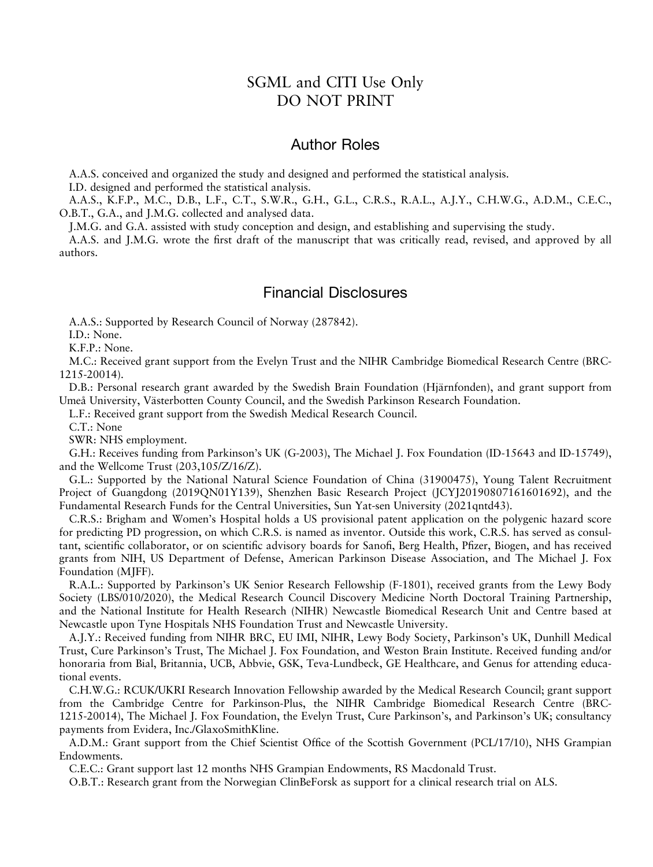# SGML and CITI Use Only DO NOT PRINT

## Author Roles

A.A.S. conceived and organized the study and designed and performed the statistical analysis.

I.D. designed and performed the statistical analysis.

A.A.S., K.F.P., M.C., D.B., L.F., C.T., S.W.R., G.H., G.L., C.R.S., R.A.L., A.J.Y., C.H.W.G., A.D.M., C.E.C., O.B.T., G.A., and J.M.G. collected and analysed data.

J.M.G. and G.A. assisted with study conception and design, and establishing and supervising the study.

A.A.S. and J.M.G. wrote the first draft of the manuscript that was critically read, revised, and approved by all authors.

# Financial Disclosures

A.A.S.: Supported by Research Council of Norway (287842).

I.D.: None.

K.F.P.: None.

M.C.: Received grant support from the Evelyn Trust and the NIHR Cambridge Biomedical Research Centre (BRC-1215-20014).

D.B.: Personal research grant awarded by the Swedish Brain Foundation (Hjärnfonden), and grant support from Umeå University, Västerbotten County Council, and the Swedish Parkinson Research Foundation.

L.F.: Received grant support from the Swedish Medical Research Council.

C.T.: None

SWR: NHS employment.

G.H.: Receives funding from Parkinson's UK (G-2003), The Michael J. Fox Foundation (ID-15643 and ID-15749), and the Wellcome Trust (203,105/Z/16/Z).

G.L.: Supported by the National Natural Science Foundation of China (31900475), Young Talent Recruitment Project of Guangdong (2019QN01Y139), Shenzhen Basic Research Project (JCYJ20190807161601692), and the Fundamental Research Funds for the Central Universities, Sun Yat-sen University (2021qntd43).

C.R.S.: Brigham and Women's Hospital holds a US provisional patent application on the polygenic hazard score for predicting PD progression, on which C.R.S. is named as inventor. Outside this work, C.R.S. has served as consultant, scientific collaborator, or on scientific advisory boards for Sanofi, Berg Health, Pfizer, Biogen, and has received grants from NIH, US Department of Defense, American Parkinson Disease Association, and The Michael J. Fox Foundation (MJFF).

R.A.L.: Supported by Parkinson's UK Senior Research Fellowship (F-1801), received grants from the Lewy Body Society (LBS/010/2020), the Medical Research Council Discovery Medicine North Doctoral Training Partnership, and the National Institute for Health Research (NIHR) Newcastle Biomedical Research Unit and Centre based at Newcastle upon Tyne Hospitals NHS Foundation Trust and Newcastle University.

A.J.Y.: Received funding from NIHR BRC, EU IMI, NIHR, Lewy Body Society, Parkinson's UK, Dunhill Medical Trust, Cure Parkinson's Trust, The Michael J. Fox Foundation, and Weston Brain Institute. Received funding and/or honoraria from Bial, Britannia, UCB, Abbvie, GSK, Teva-Lundbeck, GE Healthcare, and Genus for attending educational events.

C.H.W.G.: RCUK/UKRI Research Innovation Fellowship awarded by the Medical Research Council; grant support from the Cambridge Centre for Parkinson-Plus, the NIHR Cambridge Biomedical Research Centre (BRC-1215-20014), The Michael J. Fox Foundation, the Evelyn Trust, Cure Parkinson's, and Parkinson's UK; consultancy payments from Evidera, Inc./GlaxoSmithKline.

A.D.M.: Grant support from the Chief Scientist Office of the Scottish Government (PCL/17/10), NHS Grampian Endowments.

C.E.C.: Grant support last 12 months NHS Grampian Endowments, RS Macdonald Trust.

O.B.T.: Research grant from the Norwegian ClinBeForsk as support for a clinical research trial on ALS.